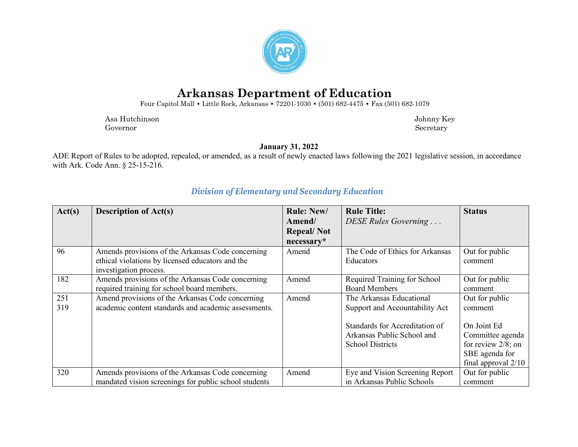

## **Arkansas Department of Education**

Four Capitol Mall **•** Little Rock, Arkansas **•** 72201-1030 **•** (501) 682-4475 **•** Fax (501) 682-1079

 Asa Hutchinson Johnny Key Governor Secretary Secretary Secretary Secretary Secretary Secretary Secretary Secretary Secretary Secretary Secretary Secretary Secretary Secretary Secretary Secretary Secretary Secretary Secretary Secretary Secretary Sec

**January 31, 2022**

ADE Report of Rules to be adopted, repealed, or amended, as a result of newly enacted laws following the 2021 legislative session, in accordance with Ark. Code Ann. § 25-15-216.

| Act(s) | <b>Description of Act(s)</b>                          | <b>Rule: New/</b> | <b>Rule Title:</b>              | <b>Status</b>         |
|--------|-------------------------------------------------------|-------------------|---------------------------------|-----------------------|
|        |                                                       | Amend/            | DESE Rules Governing            |                       |
|        |                                                       | <b>Repeal/Not</b> |                                 |                       |
|        |                                                       | necessary*        |                                 |                       |
| 96     | Amends provisions of the Arkansas Code concerning     | Amend             | The Code of Ethics for Arkansas | Out for public        |
|        | ethical violations by licensed educators and the      |                   | Educators                       | comment               |
|        | investigation process.                                |                   |                                 |                       |
| 182    | Amends provisions of the Arkansas Code concerning     | Amend             | Required Training for School    | Out for public        |
|        | required training for school board members.           |                   | <b>Board Members</b>            | comment               |
| 251    | Amend provisions of the Arkansas Code concerning      | Amend             | The Arkansas Educational        | Out for public        |
| 319    | academic content standards and academic assessments.  |                   | Support and Accountability Act  | comment               |
|        |                                                       |                   | Standards for Accreditation of  | On Joint Ed           |
|        |                                                       |                   | Arkansas Public School and      | Committee agenda      |
|        |                                                       |                   | <b>School Districts</b>         | for review $2/8$ ; on |
|        |                                                       |                   |                                 | SBE agenda for        |
|        |                                                       |                   |                                 | final approval $2/10$ |
| 320    | Amends provisions of the Arkansas Code concerning     | Amend             | Eye and Vision Screening Report | Out for public        |
|        | mandated vision screenings for public school students |                   | in Arkansas Public Schools      | comment               |

## *Division of Elementary and Secondary Education*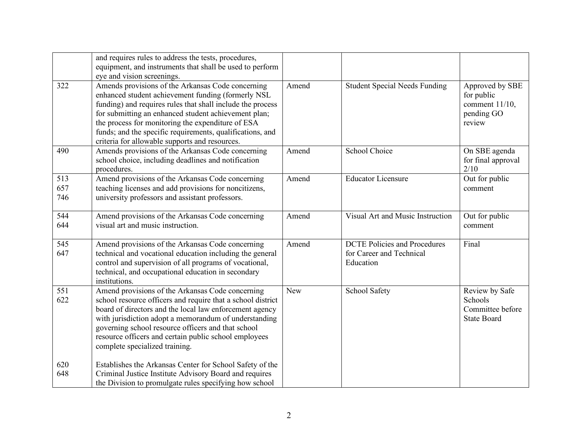|                   | and requires rules to address the tests, procedures,<br>equipment, and instruments that shall be used to perform<br>eye and vision screenings.                                                                                                                                                                                                                                                    |            |                                                                              |                                                                            |
|-------------------|---------------------------------------------------------------------------------------------------------------------------------------------------------------------------------------------------------------------------------------------------------------------------------------------------------------------------------------------------------------------------------------------------|------------|------------------------------------------------------------------------------|----------------------------------------------------------------------------|
| 322               | Amends provisions of the Arkansas Code concerning<br>enhanced student achievement funding (formerly NSL<br>funding) and requires rules that shall include the process<br>for submitting an enhanced student achievement plan;<br>the process for monitoring the expenditure of ESA<br>funds; and the specific requirements, qualifications, and<br>criteria for allowable supports and resources. | Amend      | <b>Student Special Needs Funding</b>                                         | Approved by SBE<br>for public<br>comment $11/10$ ,<br>pending GO<br>review |
| 490               | Amends provisions of the Arkansas Code concerning<br>school choice, including deadlines and notification<br>procedures.                                                                                                                                                                                                                                                                           | Amend      | School Choice                                                                | On SBE agenda<br>for final approval<br>2/10                                |
| 513<br>657<br>746 | Amend provisions of the Arkansas Code concerning<br>teaching licenses and add provisions for noncitizens,<br>university professors and assistant professors.                                                                                                                                                                                                                                      | Amend      | <b>Educator Licensure</b>                                                    | Out for public<br>comment                                                  |
| 544<br>644        | Amend provisions of the Arkansas Code concerning<br>visual art and music instruction.                                                                                                                                                                                                                                                                                                             | Amend      | Visual Art and Music Instruction                                             | Out for public<br>comment                                                  |
| 545<br>647        | Amend provisions of the Arkansas Code concerning<br>technical and vocational education including the general<br>control and supervision of all programs of vocational,<br>technical, and occupational education in secondary<br>institutions.                                                                                                                                                     | Amend      | <b>DCTE Policies and Procedures</b><br>for Career and Technical<br>Education | Final                                                                      |
| 551<br>622        | Amend provisions of the Arkansas Code concerning<br>school resource officers and require that a school district<br>board of directors and the local law enforcement agency<br>with jurisdiction adopt a memorandum of understanding<br>governing school resource officers and that school<br>resource officers and certain public school employees<br>complete specialized training.              | <b>New</b> | School Safety                                                                | Review by Safe<br>Schools<br>Committee before<br><b>State Board</b>        |
| 620<br>648        | Establishes the Arkansas Center for School Safety of the<br>Criminal Justice Institute Advisory Board and requires<br>the Division to promulgate rules specifying how school                                                                                                                                                                                                                      |            |                                                                              |                                                                            |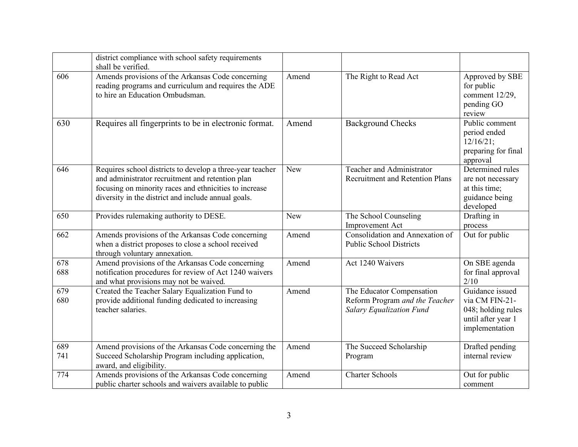|            | district compliance with school safety requirements<br>shall be verified.                                                                                                                                                      |            |                                                                                                |                                                                                                 |
|------------|--------------------------------------------------------------------------------------------------------------------------------------------------------------------------------------------------------------------------------|------------|------------------------------------------------------------------------------------------------|-------------------------------------------------------------------------------------------------|
| 606        | Amends provisions of the Arkansas Code concerning<br>reading programs and curriculum and requires the ADE<br>to hire an Education Ombudsman.                                                                                   | Amend      | The Right to Read Act                                                                          | Approved by SBE<br>for public<br>comment 12/29,<br>pending GO<br>review                         |
| 630        | Requires all fingerprints to be in electronic format.                                                                                                                                                                          | Amend      | <b>Background Checks</b>                                                                       | Public comment<br>period ended<br>12/16/21;<br>preparing for final<br>approval                  |
| 646        | Requires school districts to develop a three-year teacher<br>and administrator recruitment and retention plan<br>focusing on minority races and ethnicities to increase<br>diversity in the district and include annual goals. | <b>New</b> | Teacher and Administrator<br><b>Recruitment and Retention Plans</b>                            | Determined rules<br>are not necessary<br>at this time;<br>guidance being<br>developed           |
| 650        | Provides rulemaking authority to DESE.                                                                                                                                                                                         | New        | The School Counseling<br><b>Improvement Act</b>                                                | Drafting in<br>process                                                                          |
| 662        | Amends provisions of the Arkansas Code concerning<br>when a district proposes to close a school received<br>through voluntary annexation.                                                                                      | Amend      | Consolidation and Annexation of<br><b>Public School Districts</b>                              | Out for public                                                                                  |
| 678<br>688 | Amend provisions of the Arkansas Code concerning<br>notification procedures for review of Act 1240 waivers<br>and what provisions may not be waived.                                                                           | Amend      | Act 1240 Waivers                                                                               | On SBE agenda<br>for final approval<br>2/10                                                     |
| 679<br>680 | Created the Teacher Salary Equalization Fund to<br>provide additional funding dedicated to increasing<br>teacher salaries.                                                                                                     | Amend      | The Educator Compensation<br>Reform Program and the Teacher<br><b>Salary Equalization Fund</b> | Guidance issued<br>via CM FIN-21-<br>048; holding rules<br>until after year 1<br>implementation |
| 689<br>741 | Amend provisions of the Arkansas Code concerning the<br>Succeed Scholarship Program including application,<br>award, and eligibility.                                                                                          | Amend      | The Succeed Scholarship<br>Program                                                             | Drafted pending<br>internal review                                                              |
| 774        | Amends provisions of the Arkansas Code concerning<br>public charter schools and waivers available to public                                                                                                                    | Amend      | <b>Charter Schools</b>                                                                         | Out for public<br>comment                                                                       |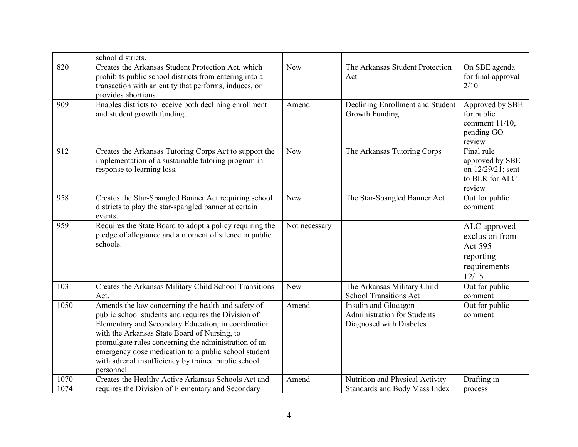|              | school districts.                                                                                                                                                                                                                                                                                                                                                                                     |               |                                                                                       |                                                                                 |
|--------------|-------------------------------------------------------------------------------------------------------------------------------------------------------------------------------------------------------------------------------------------------------------------------------------------------------------------------------------------------------------------------------------------------------|---------------|---------------------------------------------------------------------------------------|---------------------------------------------------------------------------------|
| 820          | Creates the Arkansas Student Protection Act, which<br>prohibits public school districts from entering into a<br>transaction with an entity that performs, induces, or<br>provides abortions.                                                                                                                                                                                                          | <b>New</b>    | The Arkansas Student Protection<br>Act                                                | On SBE agenda<br>for final approval<br>2/10                                     |
| 909          | Enables districts to receive both declining enrollment<br>and student growth funding.                                                                                                                                                                                                                                                                                                                 | Amend         | Declining Enrollment and Student<br>Growth Funding                                    | Approved by SBE<br>for public<br>comment 11/10,<br>pending GO<br>review         |
| 912          | Creates the Arkansas Tutoring Corps Act to support the<br>implementation of a sustainable tutoring program in<br>response to learning loss.                                                                                                                                                                                                                                                           | <b>New</b>    | The Arkansas Tutoring Corps                                                           | Final rule<br>approved by SBE<br>on 12/29/21; sent<br>to BLR for ALC<br>review  |
| 958          | Creates the Star-Spangled Banner Act requiring school<br>districts to play the star-spangled banner at certain<br>events.                                                                                                                                                                                                                                                                             | <b>New</b>    | The Star-Spangled Banner Act                                                          | Out for public<br>comment                                                       |
| 959          | Requires the State Board to adopt a policy requiring the<br>pledge of allegiance and a moment of silence in public<br>schools.                                                                                                                                                                                                                                                                        | Not necessary |                                                                                       | ALC approved<br>exclusion from<br>Act 595<br>reporting<br>requirements<br>12/15 |
| 1031         | Creates the Arkansas Military Child School Transitions<br>Act.                                                                                                                                                                                                                                                                                                                                        | <b>New</b>    | The Arkansas Military Child<br><b>School Transitions Act</b>                          | Out for public<br>comment                                                       |
| 1050         | Amends the law concerning the health and safety of<br>public school students and requires the Division of<br>Elementary and Secondary Education, in coordination<br>with the Arkansas State Board of Nursing, to<br>promulgate rules concerning the administration of an<br>emergency dose medication to a public school student<br>with adrenal insufficiency by trained public school<br>personnel. | Amend         | Insulin and Glucagon<br><b>Administration for Students</b><br>Diagnosed with Diabetes | Out for public<br>comment                                                       |
| 1070<br>1074 | Creates the Healthy Active Arkansas Schools Act and<br>requires the Division of Elementary and Secondary                                                                                                                                                                                                                                                                                              | Amend         | Nutrition and Physical Activity<br>Standards and Body Mass Index                      | Drafting in<br>process                                                          |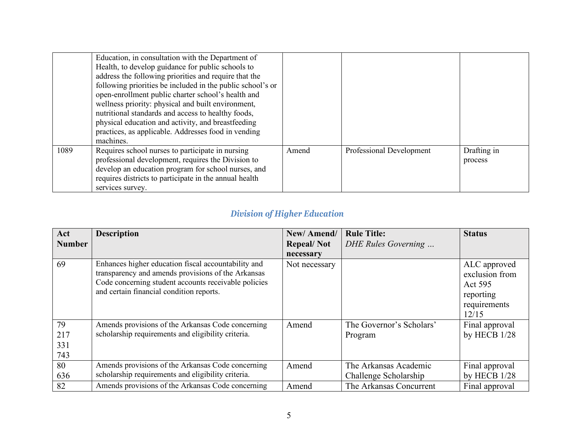|      | Education, in consultation with the Department of<br>Health, to develop guidance for public schools to<br>address the following priorities and require that the<br>following priorities be included in the public school's or<br>open-enrollment public charter school's health and<br>wellness priority: physical and built environment,<br>nutritional standards and access to healthy foods,<br>physical education and activity, and breastfeeding<br>practices, as applicable. Addresses food in vending |       |                          |                        |
|------|--------------------------------------------------------------------------------------------------------------------------------------------------------------------------------------------------------------------------------------------------------------------------------------------------------------------------------------------------------------------------------------------------------------------------------------------------------------------------------------------------------------|-------|--------------------------|------------------------|
|      | machines.                                                                                                                                                                                                                                                                                                                                                                                                                                                                                                    |       |                          |                        |
| 1089 | Requires school nurses to participate in nursing<br>professional development, requires the Division to<br>develop an education program for school nurses, and<br>requires districts to participate in the annual health<br>services survey.                                                                                                                                                                                                                                                                  | Amend | Professional Development | Drafting in<br>process |

## *Division of Higher Education*

| Act           | <b>Description</b>                                   | New/Amend/        | <b>Rule Title:</b>       | <b>Status</b>  |
|---------------|------------------------------------------------------|-------------------|--------------------------|----------------|
| <b>Number</b> |                                                      | <b>Repeal/Not</b> | DHE Rules Governing      |                |
|               |                                                      | necessary         |                          |                |
| 69            | Enhances higher education fiscal accountability and  | Not necessary     |                          | ALC approved   |
|               | transparency and amends provisions of the Arkansas   |                   |                          | exclusion from |
|               | Code concerning student accounts receivable policies |                   |                          | Act 595        |
|               | and certain financial condition reports.             |                   |                          | reporting      |
|               |                                                      |                   |                          | requirements   |
|               |                                                      |                   |                          | 12/15          |
| 79            | Amends provisions of the Arkansas Code concerning    | Amend             | The Governor's Scholars' | Final approval |
| 217           | scholarship requirements and eligibility criteria.   |                   | Program                  | by HECB 1/28   |
| 331           |                                                      |                   |                          |                |
| 743           |                                                      |                   |                          |                |
| 80            | Amends provisions of the Arkansas Code concerning    | Amend             | The Arkansas Academic    | Final approval |
| 636           | scholarship requirements and eligibility criteria.   |                   | Challenge Scholarship    | by HECB 1/28   |
| 82            | Amends provisions of the Arkansas Code concerning    | Amend             | The Arkansas Concurrent  | Final approval |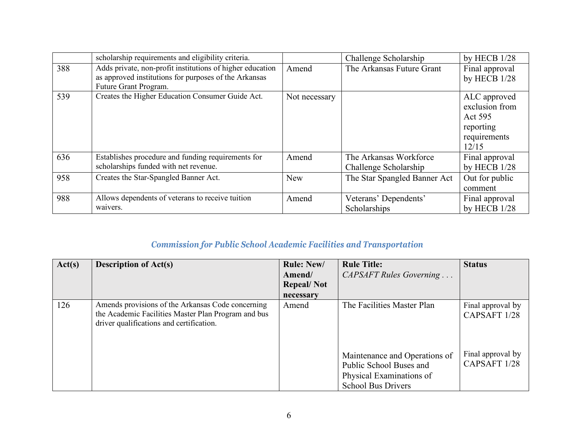|     | scholarship requirements and eligibility criteria.                                                                                          |               | Challenge Scholarship                           | by HECB 1/28                                                                    |
|-----|---------------------------------------------------------------------------------------------------------------------------------------------|---------------|-------------------------------------------------|---------------------------------------------------------------------------------|
| 388 | Adds private, non-profit institutions of higher education<br>as approved institutions for purposes of the Arkansas<br>Future Grant Program. | Amend         | The Arkansas Future Grant                       | Final approval<br>by HECB 1/28                                                  |
| 539 | Creates the Higher Education Consumer Guide Act.                                                                                            | Not necessary |                                                 | ALC approved<br>exclusion from<br>Act 595<br>reporting<br>requirements<br>12/15 |
| 636 | Establishes procedure and funding requirements for<br>scholarships funded with net revenue.                                                 | Amend         | The Arkansas Workforce<br>Challenge Scholarship | Final approval<br>by HECB $1/28$                                                |
| 958 | Creates the Star-Spangled Banner Act.                                                                                                       | <b>New</b>    | The Star Spangled Banner Act                    | Out for public<br>comment                                                       |
| 988 | Allows dependents of veterans to receive tuition<br>waivers.                                                                                | Amend         | Veterans' Dependents'<br>Scholarships           | Final approval<br>by HECB $1/28$                                                |

## *Commission for Public School Academic Facilities and Transportation*

| Act(s) | <b>Description of Act(s)</b>                                                                                                                         | <b>Rule: New/</b> | <b>Rule Title:</b>                                                                                                | <b>Status</b>                     |
|--------|------------------------------------------------------------------------------------------------------------------------------------------------------|-------------------|-------------------------------------------------------------------------------------------------------------------|-----------------------------------|
|        |                                                                                                                                                      | Amend/            | CAPSAFT Rules Governing                                                                                           |                                   |
|        |                                                                                                                                                      | <b>Repeal/Not</b> |                                                                                                                   |                                   |
|        |                                                                                                                                                      | necessary         |                                                                                                                   |                                   |
| 126    | Amends provisions of the Arkansas Code concerning<br>the Academic Facilities Master Plan Program and bus<br>driver qualifications and certification. | Amend             | The Facilities Master Plan                                                                                        | Final approval by<br>CAPSAFT 1/28 |
|        |                                                                                                                                                      |                   | Maintenance and Operations of<br>Public School Buses and<br>Physical Examinations of<br><b>School Bus Drivers</b> | Final approval by<br>CAPSAFT 1/28 |